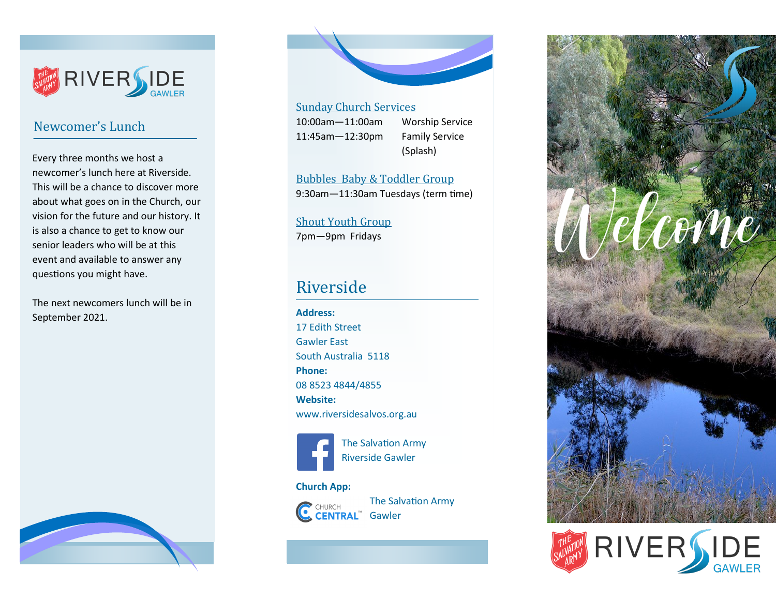

## Newcomer's Lunch

Every three months we host a newcomer's lunch here at Riverside. This will be a chance to discover more about what goes on in the Church, our vision for the future and our history. It is also a chance to get to know our senior leaders who will be at this event and available to answer any questions you might have.

The next newcomers lunch will be in September 2021.





#### Sunday Church Services

11:45am—12:30pm Family Service

10:00am—11:00am Worship Service (Splash)

Bubbles Baby & Toddler Group 9:30am—11:30am Tuesdays (term time)

# Shout Youth Group

7pm—9pm Fridays

## Riverside

**Address:** 17 Edith Street Gawler East South Australia 5118 **Phone:**  08 8523 4844/4855 **Website:** www.riversidesalvos.org.au



 The Salvation Army Riverside Gawler

#### **Church App:**



The Salvation Army